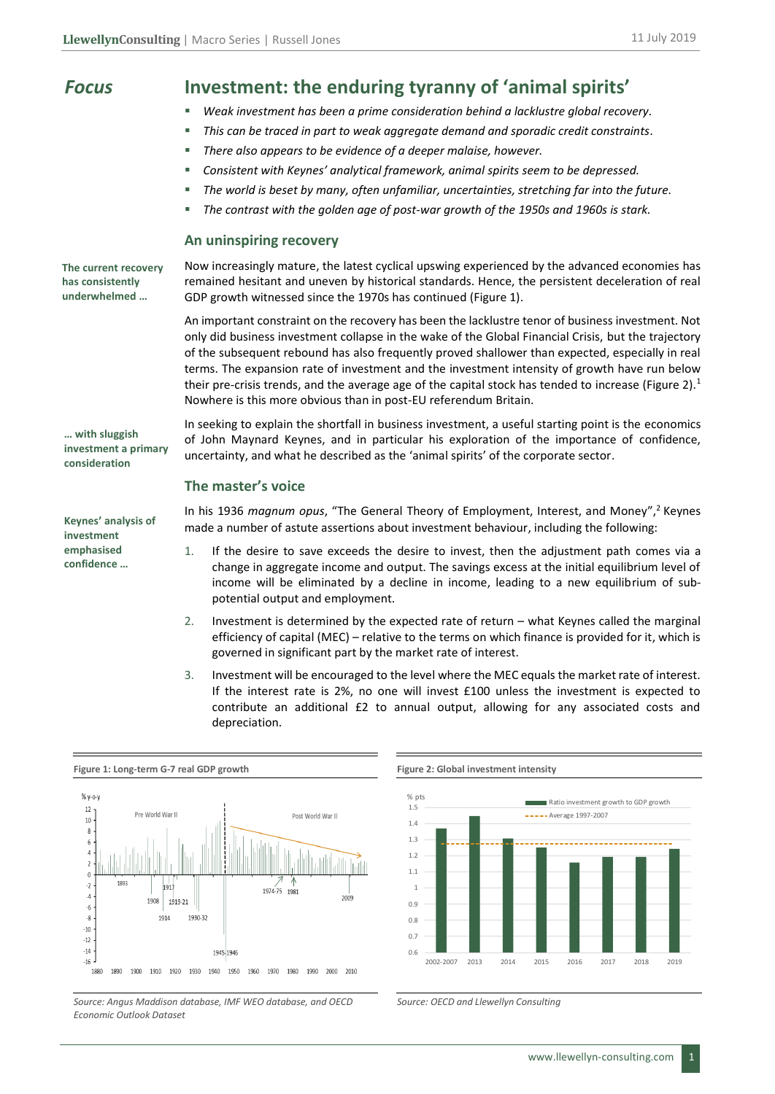| <b>Focus</b>                                             | Investment: the enduring tyranny of 'animal spirits'                                                                                                                                                                                                                                                                                                                                                                                                                                                                                                                                                    |
|----------------------------------------------------------|---------------------------------------------------------------------------------------------------------------------------------------------------------------------------------------------------------------------------------------------------------------------------------------------------------------------------------------------------------------------------------------------------------------------------------------------------------------------------------------------------------------------------------------------------------------------------------------------------------|
|                                                          | Weak investment has been a prime consideration behind a lacklustre global recovery.                                                                                                                                                                                                                                                                                                                                                                                                                                                                                                                     |
|                                                          | This can be traced in part to weak aggregate demand and sporadic credit constraints.<br>п                                                                                                                                                                                                                                                                                                                                                                                                                                                                                                               |
|                                                          | There also appears to be evidence of a deeper malaise, however.<br>٠                                                                                                                                                                                                                                                                                                                                                                                                                                                                                                                                    |
|                                                          | Consistent with Keynes' analytical framework, animal spirits seem to be depressed.<br>٠                                                                                                                                                                                                                                                                                                                                                                                                                                                                                                                 |
|                                                          | The world is beset by many, often unfamiliar, uncertainties, stretching far into the future.<br>ш                                                                                                                                                                                                                                                                                                                                                                                                                                                                                                       |
|                                                          | The contrast with the golden age of post-war growth of the 1950s and 1960s is stark.<br>ш                                                                                                                                                                                                                                                                                                                                                                                                                                                                                                               |
|                                                          | An uninspiring recovery                                                                                                                                                                                                                                                                                                                                                                                                                                                                                                                                                                                 |
| The current recovery<br>has consistently<br>underwhelmed | Now increasingly mature, the latest cyclical upswing experienced by the advanced economies has<br>remained hesitant and uneven by historical standards. Hence, the persistent deceleration of real<br>GDP growth witnessed since the 1970s has continued (Figure 1).                                                                                                                                                                                                                                                                                                                                    |
|                                                          | An important constraint on the recovery has been the lacklustre tenor of business investment. Not<br>only did business investment collapse in the wake of the Global Financial Crisis, but the trajectory<br>of the subsequent rebound has also frequently proved shallower than expected, especially in real<br>terms. The expansion rate of investment and the investment intensity of growth have run below<br>their pre-crisis trends, and the average age of the capital stock has tended to increase (Figure 2). <sup>1</sup><br>Nowhere is this more obvious than in post-EU referendum Britain. |
| with sluggish<br>investment a primary<br>consideration   | In seeking to explain the shortfall in business investment, a useful starting point is the economics<br>of John Maynard Keynes, and in particular his exploration of the importance of confidence,<br>uncertainty, and what he described as the 'animal spirits' of the corporate sector.                                                                                                                                                                                                                                                                                                               |
|                                                          | The master's voice                                                                                                                                                                                                                                                                                                                                                                                                                                                                                                                                                                                      |
| Keynes' analysis of<br>investment                        | In his 1936 magnum opus, "The General Theory of Employment, Interest, and Money", <sup>2</sup> Keynes<br>made a number of astute assertions about investment behaviour, including the following:                                                                                                                                                                                                                                                                                                                                                                                                        |
| emphasised<br>confidence                                 | 1.<br>If the desire to save exceeds the desire to invest, then the adjustment path comes via a<br>change in aggregate income and output. The savings excess at the initial equilibrium level of<br>income will be eliminated by a decline in income, leading to a new equilibrium of sub-<br>potential output and employment.                                                                                                                                                                                                                                                                           |
|                                                          | Investment is determined by the expected rate of return - what Keynes called the marginal<br>2.<br>efficiency of capital (MEC) - relative to the terms on which finance is provided for it, which is<br>governed in significant part by the market rate of interest.                                                                                                                                                                                                                                                                                                                                    |
|                                                          | 3.<br>Investment will be encouraged to the level where the MEC equals the market rate of interest.<br>If the interest rate is 2%, no one will invest £100 unless the investment is expected to<br>contribute an additional £2 to annual output, allowing for any associated costs and<br>depreciation.                                                                                                                                                                                                                                                                                                  |









*Source: OECD and Llewellyn Consulting*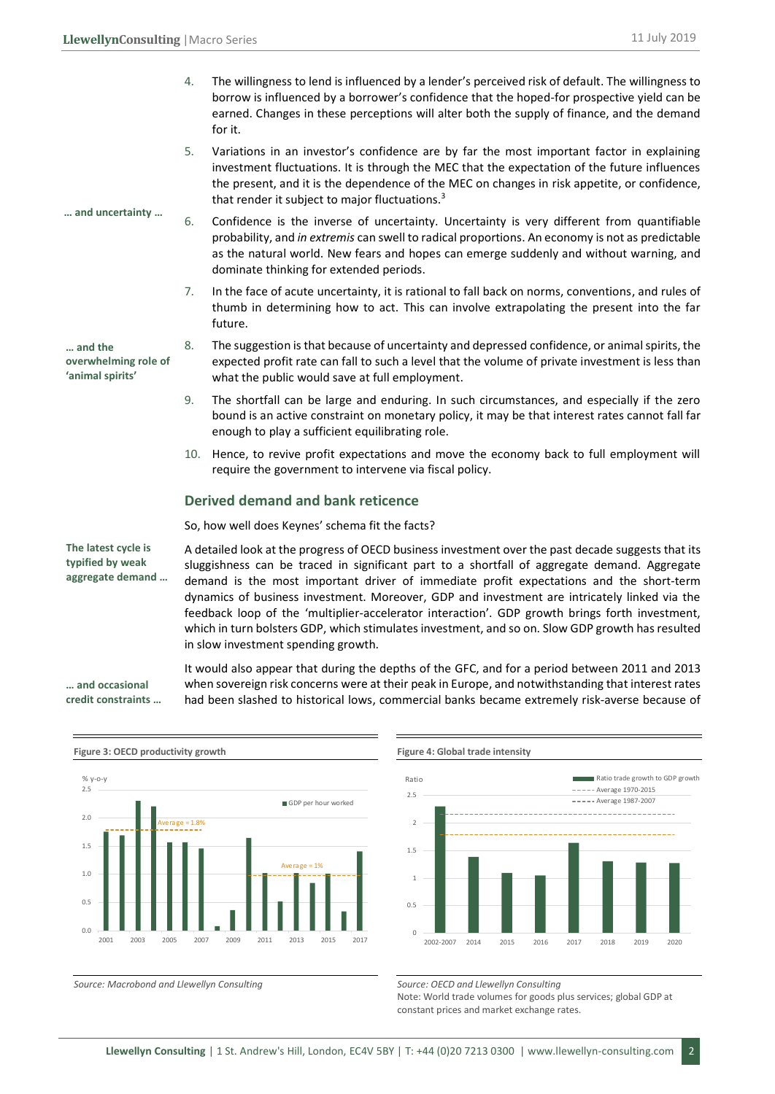- 4. The willingness to lend is influenced by a lender's perceived risk of default. The willingness to borrow is influenced by a borrower's confidence that the hoped-for prospective yield can be earned. Changes in these perceptions will alter both the supply of finance, and the demand for it.
- 5. Variations in an investor's confidence are by far the most important factor in explaining investment fluctuations. It is through the MEC that the expectation of the future influences the present, and it is the dependence of the MEC on changes in risk appetite, or confidence, that render it subject to major fluctuations. $3$
- 6. Confidence is the inverse of uncertainty. Uncertainty is very different from quantifiable probability, and *in extremis* can swell to radical proportions. An economy is not as predictable as the natural world. New fears and hopes can emerge suddenly and without warning, and dominate thinking for extended periods.
	- 7. In the face of acute uncertainty, it is rational to fall back on norms, conventions, and rules of thumb in determining how to act. This can involve extrapolating the present into the far future.
	- 8. The suggestion is that because of uncertainty and depressed confidence, or animal spirits, the expected profit rate can fall to such a level that the volume of private investment is less than what the public would save at full employment.
	- 9. The shortfall can be large and enduring. In such circumstances, and especially if the zero bound is an active constraint on monetary policy, it may be that interest rates cannot fall far enough to play a sufficient equilibrating role.
	- 10. Hence, to revive profit expectations and move the economy back to full employment will require the government to intervene via fiscal policy.

## **Derived demand and bank reticence**

So, how well does Keynes' schema fit the facts?

A detailed look at the progress of OECD business investment over the past decade suggests that its sluggishness can be traced in significant part to a shortfall of aggregate demand. Aggregate demand is the most important driver of immediate profit expectations and the short-term dynamics of business investment. Moreover, GDP and investment are intricately linked via the feedback loop of the 'multiplier-accelerator interaction'. GDP growth brings forth investment, which in turn bolsters GDP, which stimulates investment, and so on. Slow GDP growth has resulted in slow investment spending growth.

It would also appear that during the depths of the GFC, and for a period between 2011 and 2013 when sovereign risk concerns were at their peak in Europe, and notwithstanding that interest rates had been slashed to historical lows, commercial banks became extremely risk-averse because of **credit constraints …**





Source: Macrobond and Llewellyn Consulting **Source: OECD** and Llewellyn Consulting

Note: World trade volumes for goods plus services; global GDP at constant prices and market exchange rates.

**The latest cycle is typified by weak aggregate demand …**

**… and occasional** 

**… and uncertainty …** 

**… and the overwhelming role of 'animal spirits'**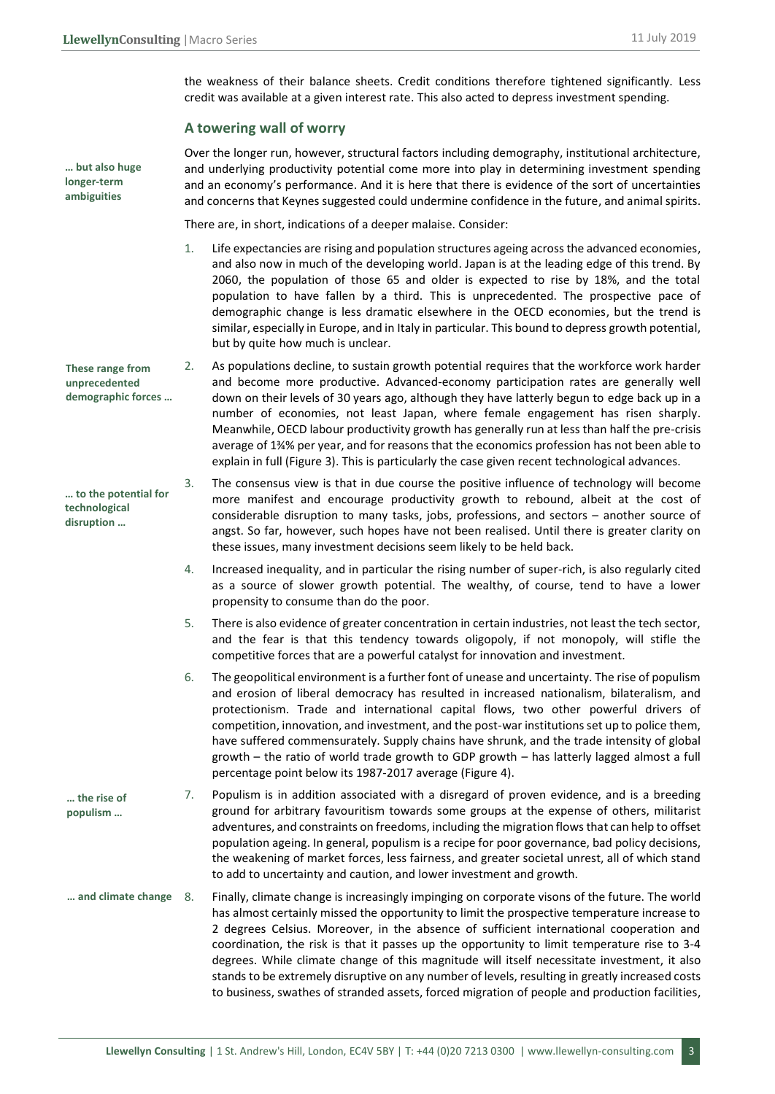the weakness of their balance sheets. Credit conditions therefore tightened significantly. Less credit was available at a given interest rate. This also acted to depress investment spending.

## **A towering wall of worry**

**… but also huge longer-term ambiguities**

**These range from unprecedented** 

**… to the potential for technological disruption …** 

Over the longer run, however, structural factors including demography, institutional architecture, and underlying productivity potential come more into play in determining investment spending and an economy's performance. And it is here that there is evidence of the sort of uncertainties and concerns that Keynes suggested could undermine confidence in the future, and animal spirits.

There are, in short, indications of a deeper malaise. Consider:

- 1. Life expectancies are rising and population structures ageing across the advanced economies, and also now in much of the developing world. Japan is at the leading edge of this trend. By 2060, the population of those 65 and older is expected to rise by 18%, and the total population to have fallen by a third. This is unprecedented. The prospective pace of demographic change is less dramatic elsewhere in the OECD economies, but the trend is similar, especially in Europe, and in Italy in particular. This bound to depress growth potential, but by quite how much is unclear.
- 2. As populations decline, to sustain growth potential requires that the workforce work harder and become more productive. Advanced-economy participation rates are generally well down on their levels of 30 years ago, although they have latterly begun to edge back up in a number of economies, not least Japan, where female engagement has risen sharply. Meanwhile, OECD labour productivity growth has generally run at less than half the pre-crisis average of 1¾% per year, and for reasons that the economics profession has not been able to explain in full (Figure 3). This is particularly the case given recent technological advances. **demographic forces …**
	- 3. The consensus view is that in due course the positive influence of technology will become more manifest and encourage productivity growth to rebound, albeit at the cost of considerable disruption to many tasks, jobs, professions, and sectors – another source of angst. So far, however, such hopes have not been realised. Until there is greater clarity on these issues, many investment decisions seem likely to be held back.
		- 4. Increased inequality, and in particular the rising number of super-rich, is also regularly cited as a source of slower growth potential. The wealthy, of course, tend to have a lower propensity to consume than do the poor.
		- 5. There is also evidence of greater concentration in certain industries, not least the tech sector, and the fear is that this tendency towards oligopoly, if not monopoly, will stifle the competitive forces that are a powerful catalyst for innovation and investment.
		- 6. The geopolitical environment is a further font of unease and uncertainty. The rise of populism and erosion of liberal democracy has resulted in increased nationalism, bilateralism, and protectionism. Trade and international capital flows, two other powerful drivers of competition, innovation, and investment, and the post-war institutions set up to police them, have suffered commensurately. Supply chains have shrunk, and the trade intensity of global growth – the ratio of world trade growth to GDP growth – has latterly lagged almost a full percentage point below its 1987-2017 average (Figure 4).
- 7. Populism is in addition associated with a disregard of proven evidence, and is a breeding ground for arbitrary favouritism towards some groups at the expense of others, militarist adventures, and constraints on freedoms, including the migration flows that can help to offset population ageing. In general, populism is a recipe for poor governance, bad policy decisions, the weakening of market forces, less fairness, and greater societal unrest, all of which stand to add to uncertainty and caution, and lower investment and growth. **… the rise of populism …**
- 8. Finally, climate change is increasingly impinging on corporate visons of the future. The world has almost certainly missed the opportunity to limit the prospective temperature increase to 2 degrees Celsius. Moreover, in the absence of sufficient international cooperation and coordination, the risk is that it passes up the opportunity to limit temperature rise to 3-4 degrees. While climate change of this magnitude will itself necessitate investment, it also stands to be extremely disruptive on any number of levels, resulting in greatly increased costs to business, swathes of stranded assets, forced migration of people and production facilities, **… and climate change**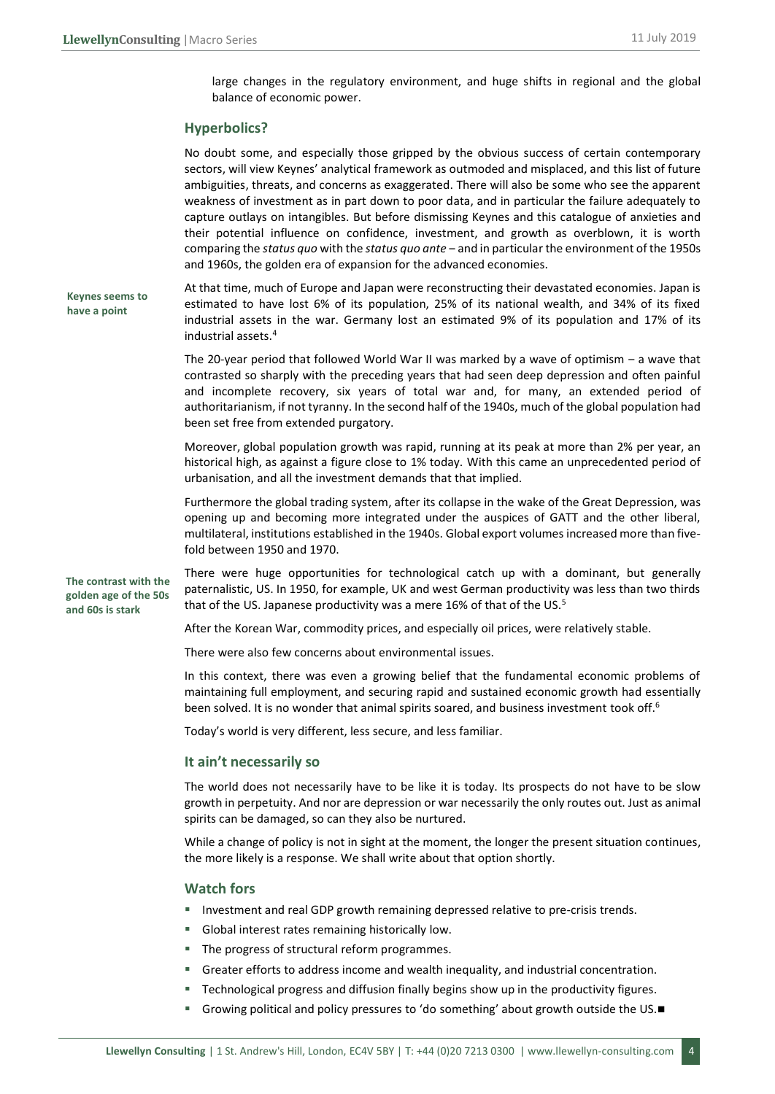large changes in the regulatory environment, and huge shifts in regional and the global balance of economic power.

#### **Hyperbolics?**

No doubt some, and especially those gripped by the obvious success of certain contemporary sectors, will view Keynes' analytical framework as outmoded and misplaced, and this list of future ambiguities, threats, and concerns as exaggerated. There will also be some who see the apparent weakness of investment as in part down to poor data, and in particular the failure adequately to capture outlays on intangibles. But before dismissing Keynes and this catalogue of anxieties and their potential influence on confidence, investment, and growth as overblown, it is worth comparing the *status quo* with the *status quo ante* ‒ and in particular the environment of the 1950s and 1960s, the golden era of expansion for the advanced economies.

At that time, much of Europe and Japan were reconstructing their devastated economies. Japan is estimated to have lost 6% of its population, 25% of its national wealth, and 34% of its fixed industrial assets in the war. Germany lost an estimated 9% of its population and 17% of its industrial assets.<sup>4</sup> **Keynes seems to have a point**

> The 20-year period that followed World War II was marked by a wave of optimism  $-$  a wave that contrasted so sharply with the preceding years that had seen deep depression and often painful and incomplete recovery, six years of total war and, for many, an extended period of authoritarianism, if not tyranny. In the second half of the 1940s, much of the global population had been set free from extended purgatory.

> Moreover, global population growth was rapid, running at its peak at more than 2% per year, an historical high, as against a figure close to 1% today. With this came an unprecedented period of urbanisation, and all the investment demands that that implied.

> Furthermore the global trading system, after its collapse in the wake of the Great Depression, was opening up and becoming more integrated under the auspices of GATT and the other liberal, multilateral, institutions established in the 1940s. Global export volumes increased more than fivefold between 1950 and 1970.

**The contrast with the golden age of the 50s and 60s is stark**

There were huge opportunities for technological catch up with a dominant, but generally paternalistic, US. In 1950, for example, UK and west German productivity was less than two thirds that of the US. Japanese productivity was a mere 16% of that of the US.<sup>5</sup>

After the Korean War, commodity prices, and especially oil prices, were relatively stable.

There were also few concerns about environmental issues.

In this context, there was even a growing belief that the fundamental economic problems of maintaining full employment, and securing rapid and sustained economic growth had essentially been solved. It is no wonder that animal spirits soared, and business investment took off.<sup>6</sup>

Today's world is very different, less secure, and less familiar.

### **It ain't necessarily so**

The world does not necessarily have to be like it is today. Its prospects do not have to be slow growth in perpetuity. And nor are depression or war necessarily the only routes out. Just as animal spirits can be damaged, so can they also be nurtured.

While a change of policy is not in sight at the moment, the longer the present situation continues, the more likely is a response. We shall write about that option shortly.

#### **Watch fors**

- Investment and real GDP growth remaining depressed relative to pre-crisis trends.
- Global interest rates remaining historically low.
- The progress of structural reform programmes.
- Greater efforts to address income and wealth inequality, and industrial concentration.
- Technological progress and diffusion finally begins show up in the productivity figures.
- Growing political and policy pressures to 'do something' about growth outside the US.■